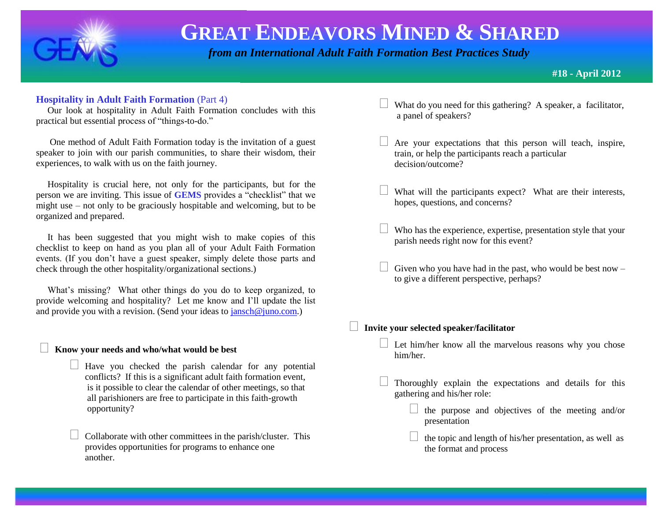

 *from an International Adult Faith Formation Best Practices Study*

### **#18 - April 2012**

### **Hospitality in Adult Faith Formation** (Part 4)

 Our look at hospitality in Adult Faith Formation concludes with this practical but essential process of "things-to-do."

 One method of Adult Faith Formation today is the invitation of a guest speaker to join with our parish communities, to share their wisdom, their experiences, to walk with us on the faith journey.

 Hospitality is crucial here, not only for the participants, but for the person we are inviting. This issue of **GEMS** provides a "checklist" that we might use – not only to be graciously hospitable and welcoming, but to be organized and prepared.

 It has been suggested that you might wish to make copies of this checklist to keep on hand as you plan all of your Adult Faith Formation events. (If you don't have a guest speaker, simply delete those parts and check through the other hospitality/organizational sections.)

What's missing? What other things do you do to keep organized, to provide welcoming and hospitality? Let me know and I'll update the list and provide you with a revision. (Send your ideas to [jansch@juno.com.](mailto:jansch@juno.com))

### **Know your needs and who/what would be best**

- $\Box$  Have you checked the parish calendar for any potential conflicts? If this is a significant adult faith formation event, is it possible to clear the calendar of other meetings, so that all parishioners are free to participate in this faith-growth opportunity?
	- Collaborate with other committees in the parish/cluster. This provides opportunities for programs to enhance one another.
- What do you need for this gathering? A speaker, a facilitator, a panel of speakers?
- Are your expectations that this person will teach, inspire, train, or help the participants reach a particular decision/outcome?
- What will the participants expect? What are their interests, hopes, questions, and concerns?
- Who has the experience, expertise, presentation style that your parish needs right now for this event?
- Given who you have had in the past, who would be best now to give a different perspective, perhaps?

**Invite your selected speaker/facilitator**

- $\Box$  Let him/her know all the marvelous reasons why you chose him/her.
- Thoroughly explain the expectations and details for this gathering and his/her role:
	- $\Box$  the purpose and objectives of the meeting and/or presentation
	- $\Box$  the topic and length of his/her presentation, as well as the format and process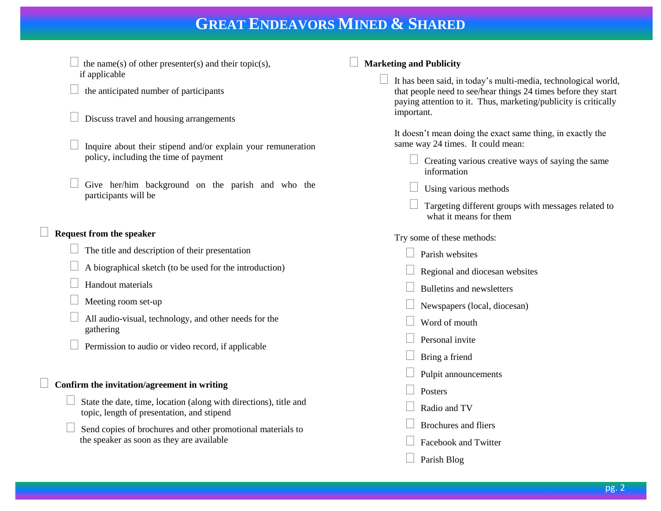- the name(s) of other presenter(s) and their topic(s), if applicable
- the anticipated number of participants
- Discuss travel and housing arrangements
- Inquire about their stipend and/or explain your remuneration policy, including the time of payment
- Give her/him background on the parish and who the participants will be

### **Request from the speaker**

- The title and description of their presentation
- A biographical sketch (to be used for the introduction)

#### Handout materials

- Meeting room set-up
- All audio-visual, technology, and other needs for the gathering
- Permission to audio or video record, if applicable

### **Confirm the invitation/agreement in writing**

- State the date, time, location (along with directions), title and topic, length of presentation, and stipend
- Send copies of brochures and other promotional materials to the speaker as soon as they are available

### **Marketing and Publicity**

 It has been said, in today's multi-media, technological world, that people need to see/hear things 24 times before they start paying attention to it. Thus, marketing/publicity is critically important.

It doesn't mean doing the exact same thing, in exactly the same way 24 times. It could mean:

- $\Box$  Creating various creative ways of saying the same information
- Using various methods
- Targeting different groups with messages related to what it means for them

Try some of these methods:

- **Parish websites**
- Regional and diocesan websites
- Bulletins and newsletters
- Newspapers (local, diocesan)
- Word of mouth
- Personal invite
- Bring a friend
- Pulpit announcements
- Posters
- Radio and TV
- Brochures and fliers
- Facebook and Twitter
- Parish Blog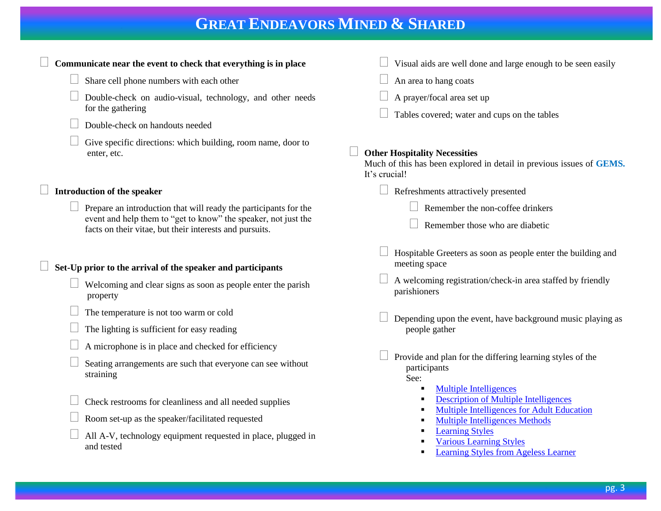| Communicate near the event to check that everything is in place                                                                                                                               | Visual aids are well done and large enough to be seen easily                                                                                                                                                                                                                                   |
|-----------------------------------------------------------------------------------------------------------------------------------------------------------------------------------------------|------------------------------------------------------------------------------------------------------------------------------------------------------------------------------------------------------------------------------------------------------------------------------------------------|
| Share cell phone numbers with each other                                                                                                                                                      | An area to hang coats                                                                                                                                                                                                                                                                          |
| Double-check on audio-visual, technology, and other needs<br>for the gathering                                                                                                                | A prayer/focal area set up<br>Tables covered; water and cups on the tables                                                                                                                                                                                                                     |
| Double-check on handouts needed                                                                                                                                                               |                                                                                                                                                                                                                                                                                                |
| Give specific directions: which building, room name, door to<br>enter, etc.                                                                                                                   | <b>Other Hospitality Necessities</b><br>Much of this has been explored in detail in previous issues of GEMS.<br>It's crucial!                                                                                                                                                                  |
| <b>Introduction of the speaker</b>                                                                                                                                                            | Refreshments attractively presented                                                                                                                                                                                                                                                            |
| Prepare an introduction that will ready the participants for the<br>event and help them to "get to know" the speaker, not just the<br>facts on their vitae, but their interests and pursuits. | Remember the non-coffee drinkers<br>Remember those who are diabetic                                                                                                                                                                                                                            |
| Set-Up prior to the arrival of the speaker and participants                                                                                                                                   | Hospitable Greeters as soon as people enter the building and<br>meeting space                                                                                                                                                                                                                  |
| Welcoming and clear signs as soon as people enter the parish<br>property                                                                                                                      | A welcoming registration/check-in area staffed by friendly<br>parishioners                                                                                                                                                                                                                     |
| The temperature is not too warm or cold<br>The lighting is sufficient for easy reading                                                                                                        | Depending upon the event, have background music playing as<br>people gather                                                                                                                                                                                                                    |
| A microphone is in place and checked for efficiency<br>Seating arrangements are such that everyone can see without<br>straining                                                               | Provide and plan for the differing learning styles of the<br>participants                                                                                                                                                                                                                      |
| Check restrooms for cleanliness and all needed supplies<br>Room set-up as the speaker/facilitated requested<br>All A-V, technology equipment requested in place, plugged in<br>and tested     | See:<br><b>Multiple Intelligences</b><br><b>Description of Multiple Intelligences</b><br><b>Multiple Intelligences for Adult Education</b><br><b>Multiple Intelligences Methods</b><br><b>Learning Styles</b><br><b>Various Learning Styles</b><br><b>Learning Styles from Ageless Learner</b> |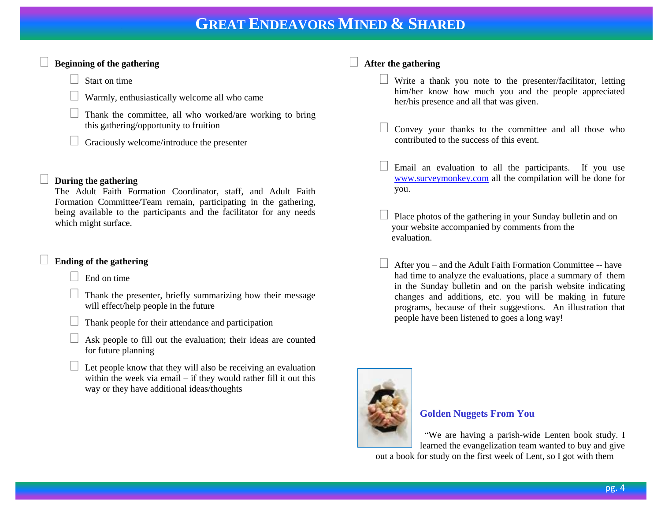### **Beginning of the gathering**

Start on time

Warmly, enthusiastically welcome all who came

 Thank the committee, all who worked/are working to bring this gathering/opportunity to fruition

 $\Box$  Graciously welcome/introduce the presenter

### **During the gathering**

The Adult Faith Formation Coordinator, staff, and Adult Faith Formation Committee/Team remain, participating in the gathering, being available to the participants and the facilitator for any needs which might surface.

### **Ending of the gathering**

End on time

- Thank the presenter, briefly summarizing how their message will effect/help people in the future
- Thank people for their attendance and participation
- Ask people to fill out the evaluation; their ideas are counted for future planning
- $\Box$  Let people know that they will also be receiving an evaluation within the week via email – if they would rather fill it out this way or they have additional ideas/thoughts

### **After the gathering**

- $\Box$  Write a thank you note to the presenter/facilitator, letting him/her know how much you and the people appreciated her/his presence and all that was given.
- Convey your thanks to the committee and all those who contributed to the success of this event.
- Email an evaluation to all the participants. If you use [www.surveymonkey.com](http://www.surveymonkey.com/) all the compilation will be done for you.
- Place photos of the gathering in your Sunday bulletin and on your website accompanied by comments from the evaluation.
- After you and the Adult Faith Formation Committee -- have had time to analyze the evaluations, place a summary of them in the Sunday bulletin and on the parish website indicating changes and additions, etc. you will be making in future programs, because of their suggestions. An illustration that people have been listened to goes a long way!



### **Golden Nuggets From You**

 "We are having a parish-wide Lenten book study. I learned the evangelization team wanted to buy and give

out a book for study on the first week of Lent, so I got with them